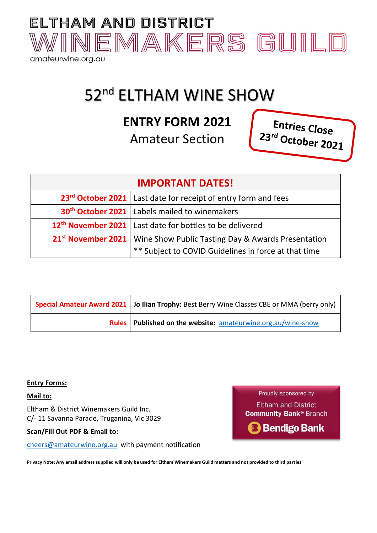

# 52<sup>nd</sup> ELTHAM WINE SHOW

## **ENTRY FORM 2021**

Amateur Section

Entries Close 23<sup>rd</sup> October 2021

| <b>IMPORTANT DATES!</b>                                                             |                                                                              |  |
|-------------------------------------------------------------------------------------|------------------------------------------------------------------------------|--|
|                                                                                     | 23 <sup>rd</sup> October 2021   Last date for receipt of entry form and fees |  |
| 30 <sup>th</sup> October 2021   Labels mailed to winemakers                         |                                                                              |  |
| 12 <sup>th</sup> November 2021   Last date for bottles to be delivered              |                                                                              |  |
| 21 <sup>st</sup> November 2021   Wine Show Public Tasting Day & Awards Presentation |                                                                              |  |
|                                                                                     | ** Subject to COVID Guidelines in force at that time                         |  |

| <b>Special Amateur Award 2021   Jo Ilian Trophy:</b> Best Berry Wine Classes CBE or MMA (berry only) |  |
|------------------------------------------------------------------------------------------------------|--|
| <b>Rules</b> Published on the website: amateurwine.org.au/wine-show                                  |  |

#### **Entry Forms:**

#### **Mail to:**

Eltham & District Winemakers Guild Inc. C/- 11 Savanna Parade, Truganina, Vic 3029

**Scan/Fill Out PDF & Email to:** 

[cheers@amateurwine.org.au](mailto:cheers@amateurwine.org.au) with payment notification

Proudly sponsored by

**Eltham and District Community Bank® Branch** 

**Bendigo Bank** 

**Privacy Note: Any email address supplied will only be used for Eltham Winemakers Guild matters and not provided to third parties**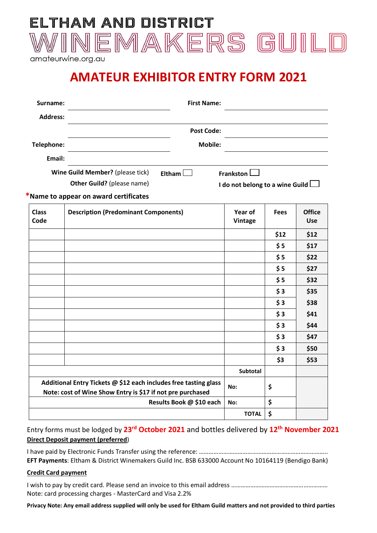

amateurwine.org.au

## **AMATEUR EXHIBITOR ENTRY FORM 2021**

| Surname:             | <b>First Name:</b>                                                                                                             |                                 |             |                             |
|----------------------|--------------------------------------------------------------------------------------------------------------------------------|---------------------------------|-------------|-----------------------------|
| <b>Address:</b>      |                                                                                                                                |                                 |             |                             |
|                      | <b>Post Code:</b>                                                                                                              |                                 |             |                             |
| Telephone:           | <b>Mobile:</b>                                                                                                                 |                                 |             |                             |
| Email:               |                                                                                                                                |                                 |             |                             |
|                      | Wine Guild Member? (please tick)<br>Eltham $\square$                                                                           | Frankston L                     |             |                             |
|                      | Other Guild? (please name)                                                                                                     | I do not belong to a wine Guild |             |                             |
|                      | *Name to appear on award certificates                                                                                          |                                 |             |                             |
| <b>Class</b><br>Code | <b>Description (Predominant Components)</b>                                                                                    | Year of<br><b>Vintage</b>       | <b>Fees</b> | <b>Office</b><br><b>Use</b> |
|                      |                                                                                                                                |                                 | \$12        | \$12                        |
|                      |                                                                                                                                |                                 | \$5         | \$17                        |
|                      |                                                                                                                                |                                 | \$5         | \$22                        |
|                      |                                                                                                                                |                                 | \$5         | \$27                        |
|                      |                                                                                                                                |                                 | \$5         | \$32                        |
|                      |                                                                                                                                |                                 | \$3         | \$35                        |
|                      |                                                                                                                                |                                 | \$3         | \$38                        |
|                      |                                                                                                                                |                                 | \$3         | \$41                        |
|                      |                                                                                                                                |                                 | \$3         | \$44                        |
|                      |                                                                                                                                |                                 | \$3         | \$47                        |
|                      |                                                                                                                                |                                 | \$3         | \$50                        |
|                      |                                                                                                                                |                                 | \$3         | \$53                        |
|                      |                                                                                                                                | <b>Subtotal</b>                 |             |                             |
|                      | Additional Entry Tickets @ \$12 each includes free tasting glass<br>Note: cost of Wine Show Entry is \$17 if not pre purchased | No:                             | \$          |                             |
|                      | Results Book @ \$10 each                                                                                                       | No:                             | \$          |                             |
|                      |                                                                                                                                | <b>TOTAL</b>                    | \$          |                             |

Entry forms must be lodged by 23<sup>rd</sup> October 2021 and bottles delivered by 12<sup>th</sup> November 2021 **Direct Deposit payment (preferred**)

I have paid by Electronic Funds Transfer using the reference: …………………………………………………………………….. **EFT Payments**: Eltham & District Winemakers Guild Inc. BSB 633000 Account No 10164119 (Bendigo Bank)

#### **Credit Card payment**

I wish to pay by credit card. Please send an invoice to this email address …………………………………………………… Note: card processing charges - MasterCard and Visa 2.2%

**Privacy Note: Any email address supplied will only be used for Eltham Guild matters and not provided to third parties**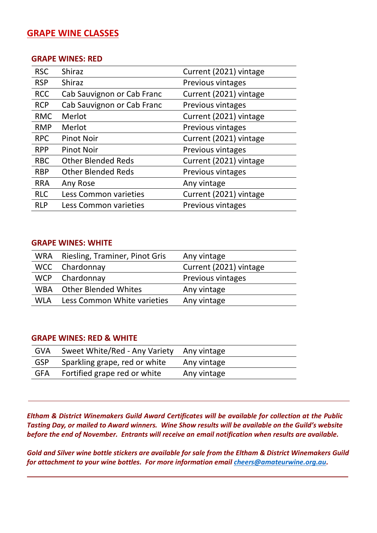## **GRAPE WINE CLASSES**

#### **GRAPE WINES: RED**

| <b>RSC</b> | <b>Shiraz</b>              | Current (2021) vintage   |
|------------|----------------------------|--------------------------|
| <b>RSP</b> | <b>Shiraz</b>              | <b>Previous vintages</b> |
| <b>RCC</b> | Cab Sauvignon or Cab Franc | Current (2021) vintage   |
| <b>RCP</b> | Cab Sauvignon or Cab Franc | <b>Previous vintages</b> |
| <b>RMC</b> | Merlot                     | Current (2021) vintage   |
| <b>RMP</b> | Merlot                     | Previous vintages        |
| <b>RPC</b> | <b>Pinot Noir</b>          | Current (2021) vintage   |
| <b>RPP</b> | <b>Pinot Noir</b>          | <b>Previous vintages</b> |
| <b>RBC</b> | <b>Other Blended Reds</b>  | Current (2021) vintage   |
| <b>RBP</b> | <b>Other Blended Reds</b>  | Previous vintages        |
| <b>RRA</b> | Any Rose                   | Any vintage              |
| <b>RLC</b> | Less Common varieties      | Current (2021) vintage   |
| <b>RLP</b> | Less Common varieties      | <b>Previous vintages</b> |

#### **GRAPE WINES: WHITE**

| WRA        | Riesling, Traminer, Pinot Gris | Any vintage            |
|------------|--------------------------------|------------------------|
|            | WCC Chardonnay                 | Current (2021) vintage |
|            | WCP Chardonnay                 | Previous vintages      |
|            | WBA Other Blended Whites       | Any vintage            |
| <b>WLA</b> | Less Common White varieties    | Any vintage            |
|            |                                |                        |

#### **GRAPE WINES: RED & WHITE**

| GVA        | Sweet White/Red - Any Variety Any vintage |             |
|------------|-------------------------------------------|-------------|
| <b>GSP</b> | Sparkling grape, red or white             | Any vintage |
| GFA        | Fortified grape red or white              | Any vintage |

*Eltham & District Winemakers Guild Award Certificates will be available for collection at the Public Tasting Day, or mailed to Award winners. Wine Show results will be available on the Guild's website before the end of November. Entrants will receive an email notification when results are available.*

*Gold and Silver wine bottle stickers are available for sale from the Eltham & District Winemakers Guild for attachment to your wine bottles. For more information email [cheers@amateurwine.org.au.](mailto:cheers@amateurwine.org.au)*